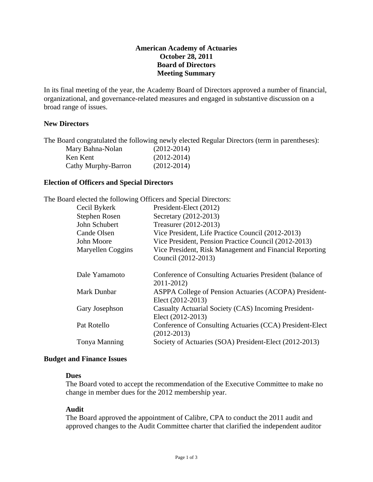# **American Academy of Actuaries October 28, 2011 Board of Directors Meeting Summary**

In its final meeting of the year, the Academy Board of Directors approved a number of financial, organizational, and governance-related measures and engaged in substantive discussion on a broad range of issues.

## **New Directors**

The Board congratulated the following newly elected Regular Directors (term in parentheses):

| Mary Bahna-Nolan    | $(2012 - 2014)$ |
|---------------------|-----------------|
| Ken Kent            | $(2012 - 2014)$ |
| Cathy Murphy-Barron | $(2012 - 2014)$ |

## **Election of Officers and Special Directors**

|                    | The Board elected the following Officers and Special Directors:                |
|--------------------|--------------------------------------------------------------------------------|
| Cecil Bykerk       | President-Elect (2012)                                                         |
| Stephen Rosen      | Secretary (2012-2013)                                                          |
| John Schubert      | Treasurer (2012-2013)                                                          |
| Cande Olsen        | Vice President, Life Practice Council (2012-2013)                              |
| John Moore         | Vice President, Pension Practice Council (2012-2013)                           |
| Maryellen Coggins  | Vice President, Risk Management and Financial Reporting<br>Council (2012-2013) |
|                    |                                                                                |
| Dale Yamamoto      | Conference of Consulting Actuaries President (balance of<br>2011-2012)         |
| <b>Mark Dunbar</b> | ASPPA College of Pension Actuaries (ACOPA) President-<br>Elect (2012-2013)     |
| Gary Josephson     | Casualty Actuarial Society (CAS) Incoming President-<br>Elect (2012-2013)      |
| Pat Rotello        | Conference of Consulting Actuaries (CCA) President-Elect<br>$(2012 - 2013)$    |
| Tonya Manning      | Society of Actuaries (SOA) President-Elect (2012-2013)                         |
|                    |                                                                                |

### **Budget and Finance Issues**

## **Dues**

The Board voted to accept the recommendation of the Executive Committee to make no change in member dues for the 2012 membership year.

### **Audit**

The Board approved the appointment of Calibre, CPA to conduct the 2011 audit and approved changes to the Audit Committee charter that clarified the independent auditor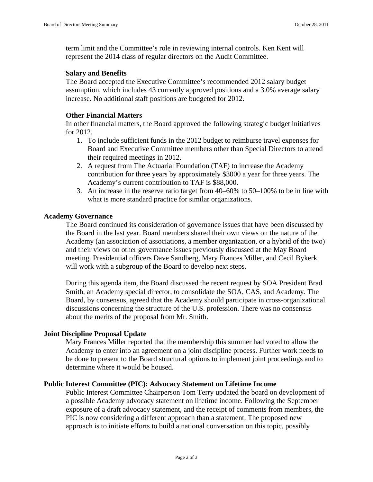term limit and the Committee's role in reviewing internal controls. Ken Kent will represent the 2014 class of regular directors on the Audit Committee.

### **Salary and Benefits**

The Board accepted the Executive Committee's recommended 2012 salary budget assumption, which includes 43 currently approved positions and a 3.0% average salary increase. No additional staff positions are budgeted for 2012.

### **Other Financial Matters**

In other financial matters, the Board approved the following strategic budget initiatives for 2012.

- 1. To include sufficient funds in the 2012 budget to reimburse travel expenses for Board and Executive Committee members other than Special Directors to attend their required meetings in 2012.
- 2. A request from The Actuarial Foundation (TAF) to increase the Academy contribution for three years by approximately \$3000 a year for three years. The Academy's current contribution to TAF is \$88,000.
- 3. An increase in the reserve ratio target from 40–60% to 50–100% to be in line with what is more standard practice for similar organizations.

### **Academy Governance**

The Board continued its consideration of governance issues that have been discussed by the Board in the last year. Board members shared their own views on the nature of the Academy (an association of associations, a member organization, or a hybrid of the two) and their views on other governance issues previously discussed at the May Board meeting. Presidential officers Dave Sandberg, Mary Frances Miller, and Cecil Bykerk will work with a subgroup of the Board to develop next steps.

During this agenda item, the Board discussed the recent request by SOA President Brad Smith, an Academy special director, to consolidate the SOA, CAS, and Academy. The Board, by consensus, agreed that the Academy should participate in cross-organizational discussions concerning the structure of the U.S. profession. There was no consensus about the merits of the proposal from Mr. Smith.

## **Joint Discipline Proposal Update**

Mary Frances Miller reported that the membership this summer had voted to allow the Academy to enter into an agreement on a joint discipline process. Further work needs to be done to present to the Board structural options to implement joint proceedings and to determine where it would be housed.

### **Public Interest Committee (PIC): Advocacy Statement on Lifetime Income**

Public Interest Committee Chairperson Tom Terry updated the board on development of a possible Academy advocacy statement on lifetime income. Following the September exposure of a draft advocacy statement, and the receipt of comments from members, the PIC is now considering a different approach than a statement. The proposed new approach is to initiate efforts to build a national conversation on this topic, possibly